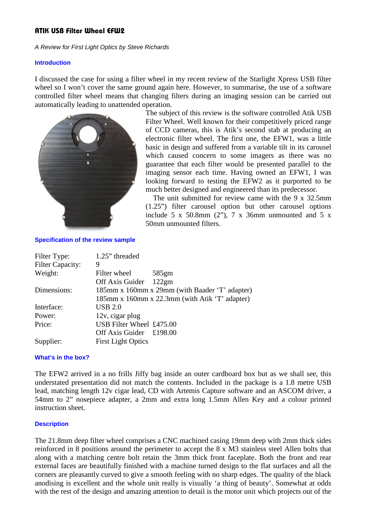# **ATIK USB Filter Wheel EFW2**

A Review for First Light Optics by Steve Richards

#### **Introduction**

I discussed the case for using a filter wheel in my recent review of the Starlight Xpress USB filter wheel so I won't cover the same ground again here. However, to summarise, the use of a software controlled filter wheel means that changing filters during an imaging session can be carried out automatically leading to unattended operation.



The subject of this review is the software controlled Atik USB Filter Wheel. Well known for their competitively priced range of CCD cameras, this is Atik's second stab at producing an electronic filter wheel. The first one, the EFW1, was a little basic in design and suffered from a variable tilt in its carousel which caused concern to some imagers as there was no guarantee that each filter would be presented parallel to the imaging sensor each time. Having owned an EFW1, I was looking forward to testing the EFW2 as it purported to be much better designed and engineered than its predecessor.

 The unit submitted for review came with the 9 x 32.5mm (1.25") filter carousel option but other carousel options include 5 x 50.8mm  $(2")$ , 7 x 36mm unmounted and 5 x 50mm unmounted filters.

**Specification of the review sample**

| Filter Type:            | 1.25" threaded                                 |
|-------------------------|------------------------------------------------|
| <b>Filter Capacity:</b> | 9                                              |
| Weight:                 | Filter wheel<br>585gm                          |
|                         | Off Axis Guider<br>122gm                       |
| Dimensions:             | 185mm x 160mm x 29mm (with Baader 'T' adapter) |
|                         | 185mm x 160mm x 22.3mm (with Atik 'T' adapter) |
| Interface:              | <b>USB 2.0</b>                                 |
| Power:                  | $12v$ , cigar plug                             |
| Price:                  | USB Filter Wheel £475.00                       |
|                         | Off Axis Guider $£198.00$                      |
| Supplier:               | <b>First Light Optics</b>                      |

## **What's in the box?**

The EFW2 arrived in a no frills Jiffy bag inside an outer cardboard box but as we shall see, this understated presentation did not match the contents. Included in the package is a 1.8 metre USB lead, matching length 12v cigar lead, CD with Artemis Capture software and an ASCOM driver, a 54mm to 2" nosepiece adapter, a 2mm and extra long 1.5mm Allen Key and a colour printed instruction sheet.

## **Description**

The 21.8mm deep filter wheel comprises a CNC machined casing 19mm deep with 2mm thick sides reinforced in 8 positions around the perimeter to accept the 8 x M3 stainless steel Allen bolts that along with a matching centre bolt retain the 3mm thick front faceplate. Both the front and rear external faces are beautifully finished with a machine turned design to the flat surfaces and all the corners are pleasantly curved to give a smooth feeling with no sharp edges. The quality of the black anodising is excellent and the whole unit really is visually 'a thing of beauty'. Somewhat at odds with the rest of the design and amazing attention to detail is the motor unit which projects out of the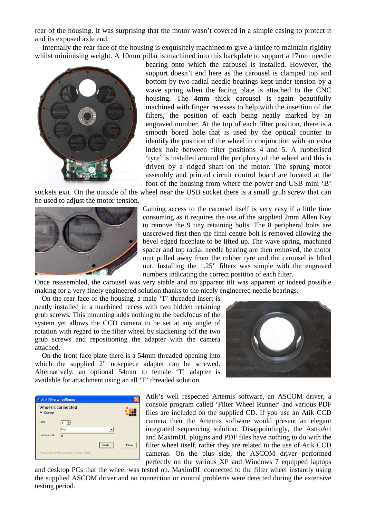rear of the housing. It was surprising that the motor wasn't covered in a simple casing to protect it and its exposed axle end.

 Internally the rear face of the housing is exquisitely machined to give a lattice to maintain rigidity whilst minimising weight. A 10mm pillar is machined into this backplate to support a 17mm needle



bearing onto which the carousel is installed. However, the support doesn't end here as the carousel is clamped top and bottom by two radial needle bearings kept under tension by a wave spring when the facing plate is attached to the CNC housing. The 4mm thick carousel is again beautifully machined with finger recesses to help with the insertion of the filters, the position of each being neatly marked by an engraved number. At the top of each filter position, there is a smooth bored hole that is used by the optical counter to identify the position of the wheel in conjunction with an extra index hole between filter positions 4 and 5. A rubberised 'tyre' is installed around the periphery of the wheel and this is driven by a ridged shaft on the motor. The sprung motor assembly and printed circuit control board are located at the foot of the housing from where the power and USB mini 'B'

sockets exit. On the outside of the wheel near the USB socket there is a small grub screw that can be used to adjust the motor tension.



Gaining access to the carousel itself is very easy if a little time consuming as it requires the use of the supplied 2mm Allen Key to remove the 9 tiny retaining bolts. The 8 peripheral bolts are unscrewed first then the final centre bolt is removed allowing the bevel edged faceplate to be lifted up. The wave spring, machined spacer and top radial needle bearing are then removed, the motor unit pulled away from the rubber tyre and the carousel is lifted out. Installing the 1.25" filters was simple with the engraved numbers indicating the correct position of each filter.

Once reassembled, the carousel was very stable and no apparent tilt was apparent or indeed possible making for a very finely engineered solution thanks to the nicely engineered needle bearings.

 On the rear face of the housing, a male 'T' threaded insert is neatly installed in a machined recess with two hidden retaining grub screws. This mounting adds nothing to the backfocus of the system yet allows the CCD camera to be set at any angle of rotation with regard to the filter wheel by slackening off the two grub screws and repositioning the adapter with the camera attached.

 On the front face plate there is a 54mm threaded opening into which the supplied 2" nosepiece adapter can be screwed. Alternatively, an optional 54mm to female 'T' adapter is available for attachment using an all 'T' threaded solution.



| <b>WE Atik FilterWheelRunner</b> |                                              |       |       |  |
|----------------------------------|----------------------------------------------|-------|-------|--|
| Wheel is connected               |                                              |       |       |  |
| $\nabla$ Connect                 |                                              |       |       |  |
| Filter:                          | $1 - \frac{1}{2}$                            |       |       |  |
|                                  | Red                                          |       |       |  |
| Focus offset:                    | 10                                           |       |       |  |
|                                  |                                              | Setup | Close |  |
|                                  | Filterwheel control assembly version 1.0.9.0 |       |       |  |

Atik's well respected Artemis software, an ASCOM driver, a console program called 'Filter Wheel Runner' and various PDF files are included on the supplied CD. If you use an Atik CCD camera then the Artemis software would present an elegant integrated sequencing solution. Disappointingly, the AstroArt and MaximDL plugins and PDF files have nothing to do with the filter wheel itself, rather they are related to the use of Atik CCD cameras. On the plus side, the ASCOM driver performed perfectly on the various XP and Windows 7 equipped laptops

and desktop PCs that the wheel was tested on. MaximDL connected to the filter wheel instantly using the supplied ASCOM driver and no connection or control problems were detected during the extensive testing period.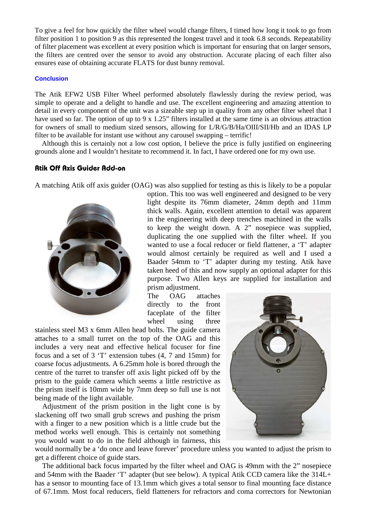To give a feel for how quickly the filter wheel would change filters, I timed how long it took to go from filter position 1 to position 9 as this represented the longest travel and it took 6.8 seconds. Repeatability of filter placement was excellent at every position which is important for ensuring that on larger sensors, the filters are centred over the sensor to avoid any obstruction. Accurate placing of each filter also ensures ease of obtaining accurate FLATS for dust bunny removal.

## **Conclusion**

The Atik EFW2 USB Filter Wheel performed absolutely flawlessly during the review period, was simple to operate and a delight to handle and use. The excellent engineering and amazing attention to detail in every component of the unit was a sizeable step up in quality from any other filter wheel that I have used so far. The option of up to 9 x 1.25" filters installed at the same time is an obvious attraction for owners of small to medium sized sensors, allowing for L/R/G/B/Ha/OIII/SII/Hb and an IDAS LP filter to be available for instant use without any carousel swapping – terrific!

 Although this is certainly not a low cost option, I believe the price is fully justified on engineering grounds alone and I wouldn't hesitate to recommend it. In fact, I have ordered one for my own use.

# **Atik Off Axis Guider Add-on**

A matching Atik off axis guider (OAG) was also supplied for testing as this is likely to be a popular



option. This too was well engineered and designed to be very light despite its 76mm diameter, 24mm depth and 11mm thick walls. Again, excellent attention to detail was apparent in the engineering with deep trenches machined in the walls to keep the weight down. A 2" nosepiece was supplied, duplicating the one supplied with the filter wheel. If you wanted to use a focal reducer or field flattener, a 'T' adapter would almost certainly be required as well and I used a Baader 54mm to 'T' adapter during my testing. Atik have taken heed of this and now supply an optional adapter for this purpose. Two Allen keys are supplied for installation and prism adjustment.

The OAG attaches directly to the front faceplate of the filter wheel using three

stainless steel M3 x 6mm Allen head bolts. The guide camera attaches to a small turret on the top of the OAG and this includes a very neat and effective helical focuser for fine focus and a set of 3 'T' extension tubes (4, 7 and 15mm) for coarse focus adjustments. A 6.25mm hole is bored through the centre of the turret to transfer off axis light picked off by the prism to the guide camera which seems a little restrictive as the prism itself is 10mm wide by 7mm deep so full use is not being made of the light available.

 Adjustment of the prism position in the light cone is by slackening off two small grub screws and pushing the prism with a finger to a new position which is a little crude but the method works well enough. This is certainly not something you would want to do in the field although in fairness, this



would normally be a 'do once and leave forever' procedure unless you wanted to adjust the prism to get a different choice of guide stars.

 The additional back focus imparted by the filter wheel and OAG is 49mm with the 2" nosepiece and 54mm with the Baader 'T' adapter (but see below). A typical Atik CCD camera like the 314L+ has a sensor to mounting face of 13.1mm which gives a total sensor to final mounting face distance of 67.1mm. Most focal reducers, field flatteners for refractors and coma correctors for Newtonian